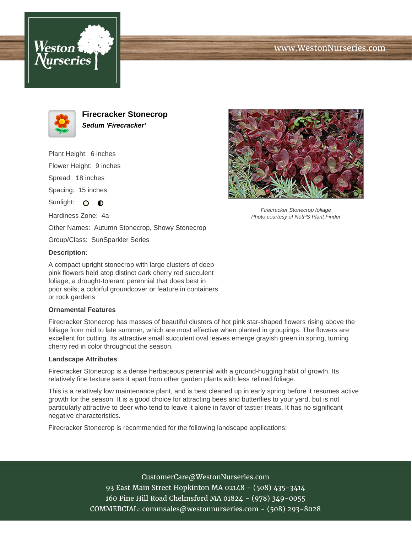





**Firecracker Stonecrop Sedum 'Firecracker'**

Plant Height: 6 inches Flower Height: 9 inches Spread: 18 inches Spacing: 15 inches Sunlight: O  $\bullet$ Hardiness Zone: 4a Other Names: Autumn Stonecrop, Showy Stonecrop

Group/Class: SunSparkler Series

## **Description:**

A compact upright stonecrop with large clusters of deep pink flowers held atop distinct dark cherry red succulent foliage; a drought-tolerant perennial that does best in poor soils; a colorful groundcover or feature in containers or rock gardens

## **Ornamental Features**

Firecracker Stonecrop has masses of beautiful clusters of hot pink star-shaped flowers rising above the foliage from mid to late summer, which are most effective when planted in groupings. The flowers are excellent for cutting. Its attractive small succulent oval leaves emerge grayish green in spring, turning cherry red in color throughout the season.

## **Landscape Attributes**

Firecracker Stonecrop is a dense herbaceous perennial with a ground-hugging habit of growth. Its relatively fine texture sets it apart from other garden plants with less refined foliage.

This is a relatively low maintenance plant, and is best cleaned up in early spring before it resumes active growth for the season. It is a good choice for attracting bees and butterflies to your yard, but is not particularly attractive to deer who tend to leave it alone in favor of tastier treats. It has no significant negative characteristics.

Firecracker Stonecrop is recommended for the following landscape applications;





Firecracker Stonecrop foliage Photo courtesy of NetPS Plant Finder